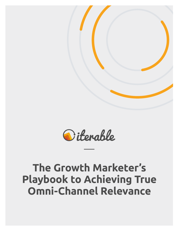



# **The Growth Marketer's Playbook to Achieving True Omni-Channel Relevance**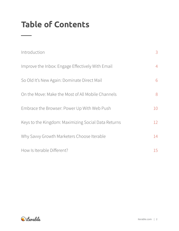## **Table of Contents**

| Introduction                                        | 3              |
|-----------------------------------------------------|----------------|
| Improve the Inbox: Engage Effectively With Email    | $\overline{4}$ |
| So Old It's New Again: Dominate Direct Mail         | 6              |
| On the Move: Make the Most of All Mobile Channels   | 8              |
| Embrace the Browser: Power Up With Web Push         | 10             |
| Keys to the Kingdom: Maximizing Social Data Returns | 12             |
| Why Savvy Growth Marketers Choose Iterable          | 14             |
| How Is Iterable Different?                          | 15             |

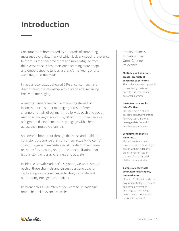## **Introduction**

Consumers are bombarded by hundreds of competing messages every day, many of which lack any specific relevance to them. As they become more and more fatigued from this excess noise, consumers are becoming more adept and emboldened to tune all a brand's marketing efforts out if they miss the mark.

In fact, a recent study showed 94% of consumers have [discontinued](https://www.marketingmag.com.au/hubs-c/customers-frustrated-irrelevant-marketing-messages/) a relationship with a brand after receiving irrelevant messaging.

A leading cause of ineffective marketing stems from inconsistent consumer messaging across different channels—email, direct mail, mobile, web push and social media. According to [Accenture](https://www.accenture.com/us-en/~/media/Accenture/Conversion-Assets/DotCom/Documents/Global/PDF/Industries_2/accenture-new-omni-channel-approach-serving-customers.pdf), 80% of consumers receive a fragmented experience as they engage with a brand across their multiple channels.

So how can brands cut through this noise and build the consistent experience that consumers actually welcome? To do this, growth marketers must create "omni-channel relevance" by creating one-to-one personalization that is consistent across all channels and at scale.

Inside the Growth Marketer's Playbook, we walk through each of these channels and discuss best practices for captivating your audiences, activating your data and automating intelligent campaigns.

Reference this guide often as you learn to unleash true omni-channel relevance at scale.

The Roadblocks Impeding True Omni-Channel Relevance

## **Multiple point solutions create inconsistent consumer experiences.**  This makes it nearly impossible to seamlessly create and

execute true omni-channel customer journeys.

#### **Customer data in silos is ineffective.**

Marketers need real-time access to robust, live profiles for every subscriber that leverages data from all first and third-party sources.

#### **Long times to market hinder ROI.**

Modern marketers need a system that can be deployed quickly without extensive professional services or the need for a dedicated platform administrator.

#### **Complex, legacy tools are built for developers, not marketers.**

Marketers' skills lie in audience acquisition strategies, content and campaign creation and targeted messaging development...not running custom SQL queries!

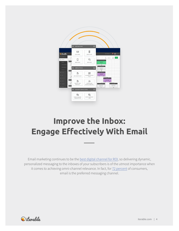

## **Improve the Inbox: Engage Effectively With Email**

Email marketing continues to be the [best digital channel for ROI](https://econsultancy.com/blog/64614-email-remains-the-best-digital-channel-for-roi/), so delivering dynamic, personalized messaging to the inboxes of your subscribers is of the utmost importance when it comes to achieving omni-channel relevance. In fact, for [72 percent](https://econsultancy.com/blog/64614-email-remains-the-best-digital-channel-for-roi/) of consumers, email is the preferred messaging channel.

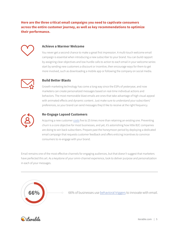## **Here are the three critical email campaigns you need to captivate consumers across the entire customer journey, as well as key recommendations to optimize their performance.**



#### **Achieve a Warmer Welcome**

You never get a second chance to make a great first impression. A multi-touch welcome email campaign is essential when introducing a new subscriber to your brand. You can build rapport by assigning clear objectives and low-hurdle calls to action to each email in your welcome series: start by sending new customers a discount or incentive, then encourage ways for them to get more involved, such as downloading a mobile app or following the company on social media.



#### **Build Better Blasts**

Growth marketing technology has come a long way since the ESPs of yesteryear, and now marketers can create personalized messages based on real-time individual actions and behaviors. The most memorable blast emails are ones that take advantage of high visual appeal with animated effects and dynamic content. Just make sure to understand your subscribers' preferences, so your brand can send messages they'd like to receive at the right frequency.



#### **Re-Engage Lapsed Customers**

Acquiring a new customer [costs](https://hbr.org/2014/10/the-value-of-keeping-the-right-customers) five to 25 times more than retaining an existing one. Preventing churn is a core objective for most businesses, and yet, it's astonishing how little B2C companies are doing to win back subscribers. Prepare past the honeymoon period by deploying a dedicated email campaign that requests customer feedback and offers enticing incentives to convince consumers to re-engage with your brand.

Email remains one of the most effective channels for engaging audiences, but that doesn't suggest that marketers have perfected this art. As a keystone of your omni-channel experience, look to deliver purpose and personalization in each of your messages.



**66%** 66% of businesses use [behavioral triggers](http://www.emailmonday.com/email-marketing-future) to innovate with email.

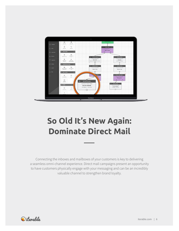

## **So Old It's New Again: Dominate Direct Mail**

Connecting the inboxes and mailboxes of your customers is key to delivering a seamless omni-channel experience. Direct mail campaigns present an opportunity to have customers physically engage with your messaging and can be an incredibly valuable channel to strengthen brand loyalty.

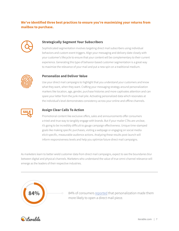## **We've identified three best practices to ensure you're maximizing your returns from mailbox to purchase.**



### **Strategically Segment Your Subscribers**

Sophisticated segmentation involves targeting direct mail subscribers using individual behaviors and custom event triggers. Align your messaging and delivery date closely with your customer's lifecycle to ensure that your content will be complementary to their current experience. Generating this type of behavior-based customer segmentation is a great way to maximize the relevance of your mail and put a new spin on a traditional medium.



### **Personalize and Deliver Value**

Use your direct mail campaigns to highlight that you understand your customers and know what they want, when they want. Crafting your messaging strategy around personalization markers like location, age, gender, purchase histories and more captivates attention and can spare your letter from the junk mail pile. Activating personalized data which resonates at the individual's level demonstrates consistency across your online and offline channels.



#### **Assign Clear Calls To Action**

Promotional content like exclusive offers, sales and announcements offer consumers a tried-and-true way to tangibly engage with brands. But if your mailer CTAs are unclear, it's going to be incredibly difficult to gauge campaign effectiveness. Unique time-stamped goals like making specific purchases, visiting a webpage or engaging on social media elicit specific, measurable audience actions. Analyzing these results post-launch will inform responsiveness levels and help you optimize future direct mail campaigns.

As marketers learn to better wield customer data from direct mail campaigns, expect to see the boundaries blur between digital and physical channels. Marketers who understand the value of true omni-channel relevance will emerge as the leaders of their respective industries.



84% of consumers [reported](http://www.ddprints.com/downloads/infotrends_whitepaper_march_2016.pdf) that personalization made them more likely to open a direct mail piece.

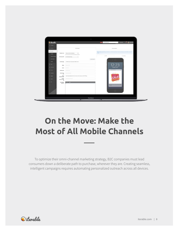

## **On the Move: Make the Most of All Mobile Channels**

To optimize their omni-channel marketing strategy, B2C companies must lead consumers down a deliberate path to purchase, wherever they are. Creating seamless, intelligent campaigns requires automating personalized outreach across all devices.

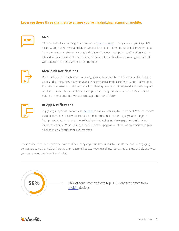### **Leverage these three channels to ensure you're maximizing returns on mobile.**



### **SMS**

90 percent of all text messages are read within [three minutes](https://www.tatango.com/blog/sms-open-rates-exceed-99/) of being received, making SMS a captivating marketing channel. Keep your calls to action either transactional or promotional in nature, so your customers can easily distinguish between a shipping confirmation and the latest deal. Be conscious of when customers are most receptive to messages—great content won't matter if it's perceived as an interruption.



### **Rich Push Notifications**

Push notifications have become more engaging with the addition of rich content like images, video and buttons. Now marketers can create interactive mobile content that uniquely appeal to customers based on real-time behaviors. Share special promotions, send alerts and request product reviews—the possibilities for rich push are nearly endless. This channel's interactive nature creates a powerful way to encourage, entice and inform.



#### **In-App Notifications**

Triggering in-app notifications can [increase](https://www.elitemcommerce.com/push-notifications-in-app-messages-increases-app-marketing-roi/) conversion rates up to 400 percent. Whether they're used to offer time-sensitive discounts or remind customers of their loyalty status, targeted in-app messages can be extremely effective at improving mobile engagement and driving increased revenue. Measure in-app metrics, such as pageviews, clicks and conversions to gain a holistic view of notification success rates.

These mobile channels open a new realm of marketing opportunities, but such intimate methods of engaging consumers can either help or hurt the omni-channel headway you're making. Test on mobile responsibly and keep your customers' sentiment top of mind.



56% of consumer traffic to top U.S. websites comes from [mobile](http://marketingland.com/mobile-top-sites-165725) devices.

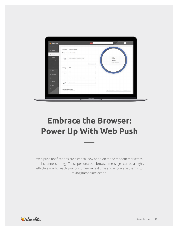| <b>Ed Campaigns</b><br>Templates > Create a new template<br>$\frac{1}{\sqrt{11}}$ Workflows<br>Create a new template<br>Templates<br><b>Templates</b><br>Hello,<br>Template created on Thu, Sep 07 2017, 10:26<br>Template<br>name<br>This is the name you'll use to internally identify your web push template.<br>World!<br>Create New Template<br>New Project<br>E INSERT SNIPPET<br><b>Import Template</b><br>Snippets<br>Notification<br>Hello,<br>Title<br>$50$ Users<br>World!<br>Notification<br>Body<br>St Experiments<br><b>D</b> Reverus<br>Icon<br>https://static.lterable.com/assets/img/logo.png<br>Click<br>https://iterable.com<br>Action O<br>$\frac{\sqrt{3}}{6\sqrt{6}}$ . Seeings<br>$\oslash$ Support<br>Last saved a few seconds ago<br>CICLONE TEMPLATE A SEND PROOF . PREVIEW WITH DATA<br>& SEE REVISIONS & EXPORT AS HTML<br>$65$ Bars | <i><b>Oiterable</b></i> | Admin | bryan@berable.com | New Project v<br>$\tau$ | $\Delta$<br><b>Iterable Founders &gt;</b> |
|------------------------------------------------------------------------------------------------------------------------------------------------------------------------------------------------------------------------------------------------------------------------------------------------------------------------------------------------------------------------------------------------------------------------------------------------------------------------------------------------------------------------------------------------------------------------------------------------------------------------------------------------------------------------------------------------------------------------------------------------------------------------------------------------------------------------------------------------------------------|-------------------------|-------|-------------------|-------------------------|-------------------------------------------|
|                                                                                                                                                                                                                                                                                                                                                                                                                                                                                                                                                                                                                                                                                                                                                                                                                                                                  |                         |       |                   |                         |                                           |
|                                                                                                                                                                                                                                                                                                                                                                                                                                                                                                                                                                                                                                                                                                                                                                                                                                                                  |                         |       |                   |                         |                                           |
|                                                                                                                                                                                                                                                                                                                                                                                                                                                                                                                                                                                                                                                                                                                                                                                                                                                                  |                         |       |                   |                         |                                           |
|                                                                                                                                                                                                                                                                                                                                                                                                                                                                                                                                                                                                                                                                                                                                                                                                                                                                  |                         |       |                   |                         |                                           |
|                                                                                                                                                                                                                                                                                                                                                                                                                                                                                                                                                                                                                                                                                                                                                                                                                                                                  |                         |       |                   |                         |                                           |
|                                                                                                                                                                                                                                                                                                                                                                                                                                                                                                                                                                                                                                                                                                                                                                                                                                                                  |                         |       |                   |                         |                                           |
|                                                                                                                                                                                                                                                                                                                                                                                                                                                                                                                                                                                                                                                                                                                                                                                                                                                                  |                         |       |                   |                         |                                           |
|                                                                                                                                                                                                                                                                                                                                                                                                                                                                                                                                                                                                                                                                                                                                                                                                                                                                  |                         |       |                   |                         |                                           |
|                                                                                                                                                                                                                                                                                                                                                                                                                                                                                                                                                                                                                                                                                                                                                                                                                                                                  |                         |       |                   |                         |                                           |
|                                                                                                                                                                                                                                                                                                                                                                                                                                                                                                                                                                                                                                                                                                                                                                                                                                                                  |                         |       |                   |                         |                                           |
|                                                                                                                                                                                                                                                                                                                                                                                                                                                                                                                                                                                                                                                                                                                                                                                                                                                                  |                         |       |                   |                         |                                           |
|                                                                                                                                                                                                                                                                                                                                                                                                                                                                                                                                                                                                                                                                                                                                                                                                                                                                  |                         |       |                   |                         |                                           |
|                                                                                                                                                                                                                                                                                                                                                                                                                                                                                                                                                                                                                                                                                                                                                                                                                                                                  |                         |       |                   |                         |                                           |
|                                                                                                                                                                                                                                                                                                                                                                                                                                                                                                                                                                                                                                                                                                                                                                                                                                                                  |                         |       |                   |                         |                                           |
|                                                                                                                                                                                                                                                                                                                                                                                                                                                                                                                                                                                                                                                                                                                                                                                                                                                                  |                         |       |                   |                         |                                           |
|                                                                                                                                                                                                                                                                                                                                                                                                                                                                                                                                                                                                                                                                                                                                                                                                                                                                  |                         |       |                   |                         |                                           |
|                                                                                                                                                                                                                                                                                                                                                                                                                                                                                                                                                                                                                                                                                                                                                                                                                                                                  |                         |       |                   |                         |                                           |
|                                                                                                                                                                                                                                                                                                                                                                                                                                                                                                                                                                                                                                                                                                                                                                                                                                                                  |                         |       |                   |                         |                                           |

## **Embrace the Browser: Power Up With Web Push**

Web push notifications are a critical new addition to the modern marketer's omni-channel strategy. These personalized browser messages can be a highly effective way to reach your customers in real time and encourage them into taking immediate action.

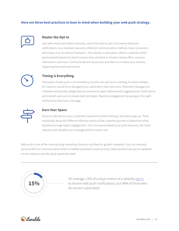## **Here are three best practices to bear in mind when building your web push strategy.**



#### **Master the Opt-In**

Like with email and mobile channels, users first need to opt in to receive web push notifications. As a relatively new and unfamiliar communication method, many consumers will simply click no without hesitation. The solution is education. Inform customers of the personalized experience they'll receive: time-sensitive or location-based offers, account information and more. Communicate the value early and often to increase your chances of gaining their push permission.



### **Timing is Everything**

The power of web push is its immediacy, but this can also be its undoing. A rookie mistake, for instance, would be to disregard your subscriber's own time zone. Mistimed messages are irrelevant and quickly categorized as unwelcome spam. Behaviorally triggered push notifications will triumph over out-of-context batched blasts. Maximize engagement by keying on the right moments to share your message.



#### **Earn Your Space**

Strive to add value to your customers' experience without being a disruptive pop-up. Think holistically about the different inflection points of the customer journey to determine what would encourage higher engagement. The more personalized your push becomes, the more relevant and valuable your message will be to each user.

Web push is one of the most exciting marketing channels out there for growth marketers. Such an intensely personal form of communication holds incredible potential if used correctly. Many brands have yet to capitalize on this medium, but the value speaks for itself.



On average, 15% of unique visitors of a website [opt-in](https://relevance.com/the-genius-of-delivering-content-via-web-push-notifications/) to receive web push notifications, but 94% of those who do remain subscribed.

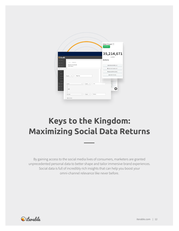

## **Keys to the Kingdom: Maximizing Social Data Returns**

By gaining access to the social media lives of consumers, marketers are granted unprecedented personal data to better shape and tailor immersive brand experiences. Social data is full of incredibly rich insights that can help you boost your omni-channel relevance like never before.

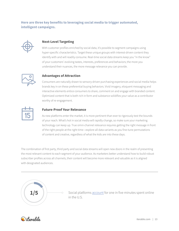## **Here are three key benefits to leveraging social media to trigger automated, intelligent campaigns.**



## **Next-Level Targeting**

With customer profiles enriched by social data, it's possible to segment campaigns using hyper-specific characteristics. Target these unique groups with interest-driven content they identify with and will readily consume. Real-time social data streams keep you "in the know" of your customers' evolving tastes, interests, preferences and behaviors; the more you understand their nuances, the more message relevance you can provide.



### **Advantages of Attraction**

Consumers are naturally drawn to sensory-driven purchasing experiences and social media helps brands key in on these preferential buying behaviors. Vivid imagery, eloquent messaging and interactive elements entice consumers to share, comment on and engage with branded content. Optimized content that is both rich in form and substance solidifies your value as a contributor worthy of re-engagement.



### **Future-Proof Your Relevance**

As new platforms enter the market, it is more pertinent than ever to rigorously test the bounds of your reach. What's hot in social media will rapidly change, so make sure your marketing technology can keep up. True omni-channel relevance requires getting the right message in front of the right people at the right time—explore all data variants as you fine-tune permutations of content and creative, regardless of what the kids are into these days.

The combination of first party, third party and social data streams will open new doors in the realm of presenting the most relevant content to each segment of your audience. As marketers better understand how to build robust subscriber profiles across all channels, their content will become more relevant and valuable as it is aligned with designated audiences.



Social platforms **account** for one in five minutes spent online in the U.S.

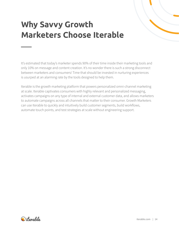## **Why Savvy Growth Marketers Choose Iterable**

It's estimated that today's marketer spends 90% of their time inside their marketing tools and only 10% on message and content creation. It's no wonder there is such a strong disconnect between marketers and consumers! Time that should be invested in nurturing experiences is usurped at an alarming rate by the tools designed to help them.

Iterable is the growth marketing platform that powers personalized omni-channel marketing at scale. Iterable captivates consumers with highly relevant and personalized messaging, activates campaigns on any type of internal and external customer data, and allows marketers to automate campaigns across all channels that matter to their consumer. Growth Marketers can use Iterable to quickly and intuitively build customer segments, build workflows, automate touch points, and test strategies at scale without engineering support.